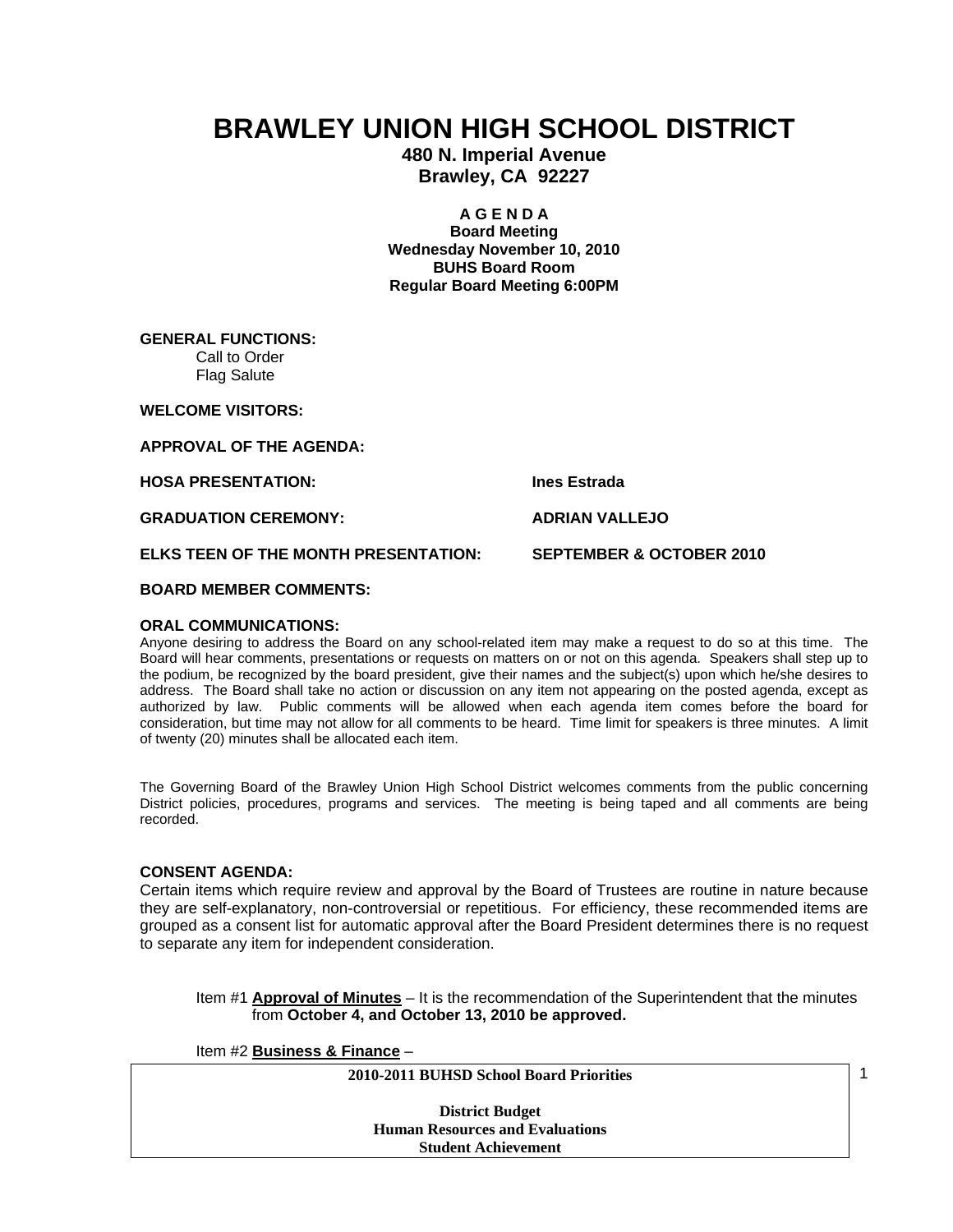# **BRAWLEY UNION HIGH SCHOOL DISTRICT**

**480 N. Imperial Avenue Brawley, CA 92227** 

> **A G E N D A Board Meeting**

**Wednesday November 10, 2010 BUHS Board Room Regular Board Meeting 6:00PM** 

**GENERAL FUNCTIONS:**  Call to Order Flag Salute

**WELCOME VISITORS:** 

**APPROVAL OF THE AGENDA:** 

**HOSA PRESENTATION: Ines Estrada** 

**GRADUATION CEREMONY:** ADRIAN VALLEJO

**ELKS TEEN OF THE MONTH PRESENTATION: SEPTEMBER & OCTOBER 2010** 

**BOARD MEMBER COMMENTS:** 

# **ORAL COMMUNICATIONS:**

Anyone desiring to address the Board on any school-related item may make a request to do so at this time. The Board will hear comments, presentations or requests on matters on or not on this agenda. Speakers shall step up to the podium, be recognized by the board president, give their names and the subject(s) upon which he/she desires to address. The Board shall take no action or discussion on any item not appearing on the posted agenda, except as authorized by law. Public comments will be allowed when each agenda item comes before the board for consideration, but time may not allow for all comments to be heard. Time limit for speakers is three minutes. A limit of twenty (20) minutes shall be allocated each item.

The Governing Board of the Brawley Union High School District welcomes comments from the public concerning District policies, procedures, programs and services. The meeting is being taped and all comments are being recorded.

# **CONSENT AGENDA:**

Certain items which require review and approval by the Board of Trustees are routine in nature because they are self-explanatory, non-controversial or repetitious. For efficiency, these recommended items are grouped as a consent list for automatic approval after the Board President determines there is no request to separate any item for independent consideration.

Item #1 **Approval of Minutes** – It is the recommendation of the Superintendent that the minutes from **October 4, and October 13, 2010 be approved.** 

Item #2 **Business & Finance** –

**2010-2011 BUHSD School Board Priorities** 

**District Budget Human Resources and Evaluations Student Achievement** 

1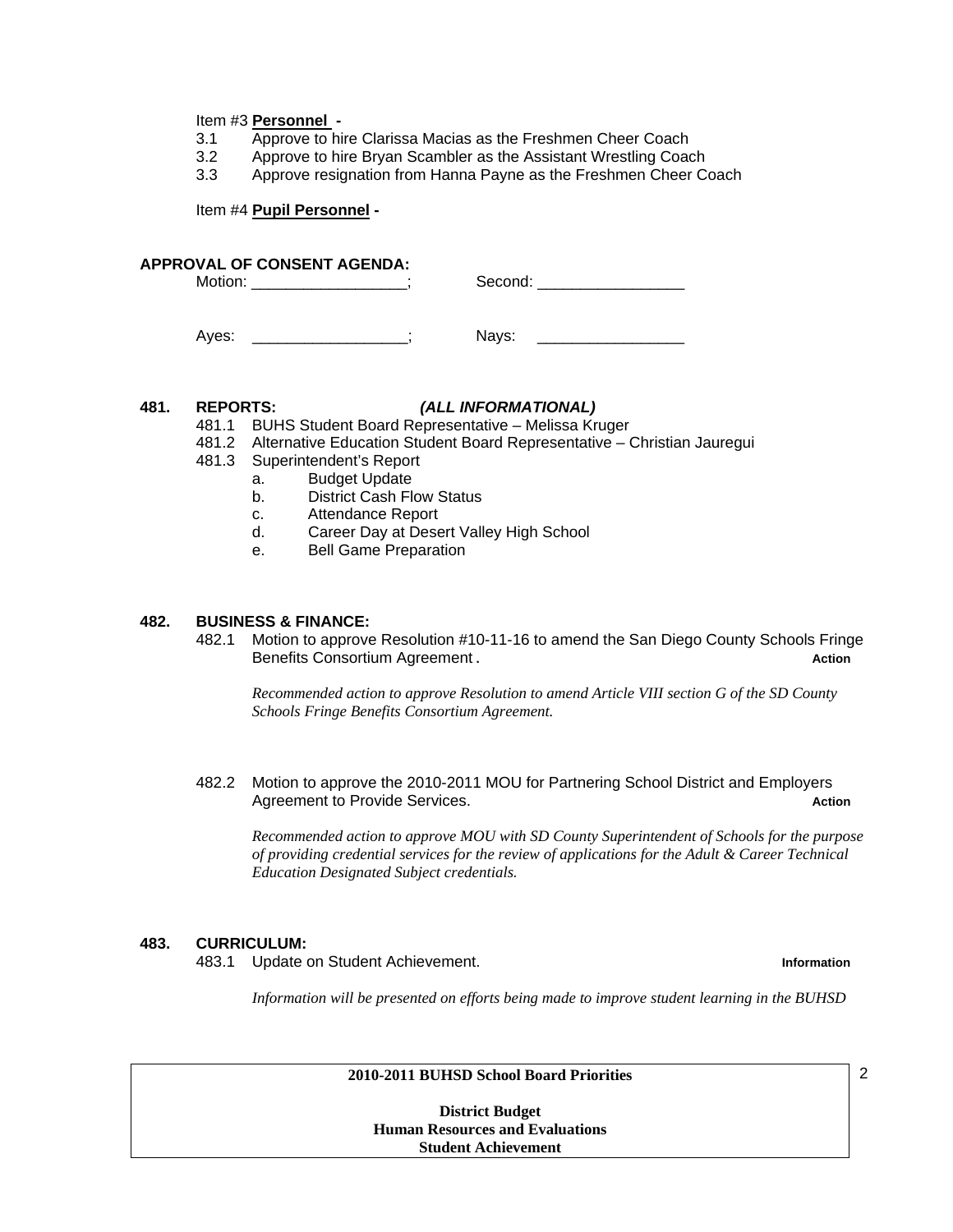#### Item #3 **Personnel -**

- 3.1 Approve to hire Clarissa Macias as the Freshmen Cheer Coach
- 3.2 Approve to hire Bryan Scambler as the Assistant Wrestling Coach
- 3.3 Approve resignation from Hanna Payne as the Freshmen Cheer Coach

Item #4 **Pupil Personnel -** 

#### **APPROVAL OF CONSENT AGENDA:**

| <b>IVIOTIC</b><br>.<br>__ | ∙دے.<br>п |
|---------------------------|-----------|
|                           |           |

Ayes: The Contract of the Mays:

#### **481. REPORTS:** *(ALL INFORMATIONAL)*

481.1 BUHS Student Board Representative – Melissa Kruger

- 481.2 Alternative Education Student Board Representative Christian Jauregui
- 481.3 Superintendent's Report
	- a. Budget Update
	- b. District Cash Flow Status
	- c. Attendance Report
	- d. Career Day at Desert Valley High School
	- e. Bell Game Preparation

### **482. BUSINESS & FINANCE:**

482.1 Motion to approve Resolution #10-11-16 to amend the San Diego County Schools Fringe Benefits Consortium Agreement **.** Action **Action** 

*Recommended action to approve Resolution to amend Article VIII section G of the SD County Schools Fringe Benefits Consortium Agreement.* 

482.2 Motion to approve the 2010-2011 MOU for Partnering School District and Employers Agreement to Provide Services. **Action** Action **Action** Action **Action** 

*Recommended action to approve MOU with SD County Superintendent of Schools for the purpose of providing credential services for the review of applications for the Adult & Career Technical Education Designated Subject credentials.* 

#### **483. CURRICULUM:**

483.1 Update on Student Achievement. **Information**

*Information will be presented on efforts being made to improve student learning in the BUHSD* 

#### **2010-2011 BUHSD School Board Priorities**

**District Budget Human Resources and Evaluations Student Achievement** 

2